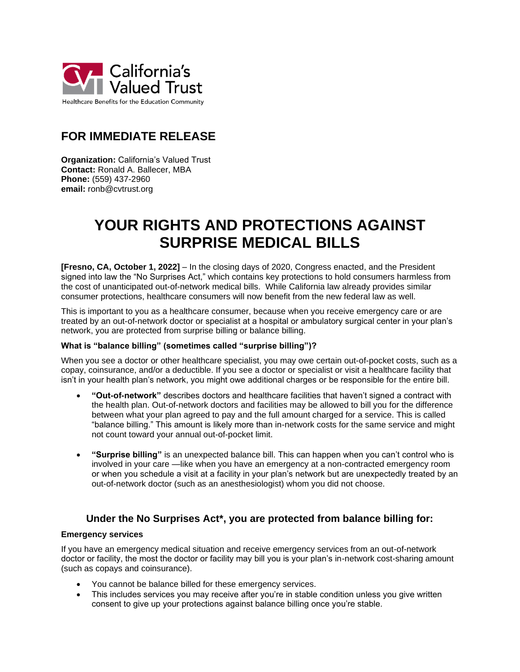

## **FOR IMMEDIATE RELEASE**

**Organization:** California's Valued Trust **Contact:** Ronald A. Ballecer, MBA **Phone:** (559) 437-2960 **email:** ronb@cvtrust.org

# **YOUR RIGHTS AND PROTECTIONS AGAINST SURPRISE MEDICAL BILLS**

**[Fresno, CA, October 1, 2022]** – In the closing days of 2020, Congress enacted, and the President signed into law the "No Surprises Act," which contains key protections to hold consumers harmless from the cost of unanticipated out-of-network medical bills. While California law already provides similar consumer protections, healthcare consumers will now benefit from the new federal law as well.

This is important to you as a healthcare consumer, because when you receive emergency care or are treated by an out-of-network doctor or specialist at a hospital or ambulatory surgical center in your plan's network, you are protected from surprise billing or balance billing.

### **What is "balance billing" (sometimes called "surprise billing")?**

When you see a doctor or other healthcare specialist, you may owe certain out-of-pocket costs, such as a copay, coinsurance, and/or a deductible. If you see a doctor or specialist or visit a healthcare facility that isn't in your health plan's network, you might owe additional charges or be responsible for the entire bill.

- **"Out-of-network"** describes doctors and healthcare facilities that haven't signed a contract with the health plan. Out-of-network doctors and facilities may be allowed to bill you for the difference between what your plan agreed to pay and the full amount charged for a service. This is called "balance billing." This amount is likely more than in-network costs for the same service and might not count toward your annual out-of-pocket limit.
- **"Surprise billing"** is an unexpected balance bill. This can happen when you can't control who is involved in your care —like when you have an emergency at a non-contracted emergency room or when you schedule a visit at a facility in your plan's network but are unexpectedly treated by an out-of-network doctor (such as an anesthesiologist) whom you did not choose.

## **Under the No Surprises Act\*, you are protected from balance billing for:**

#### **Emergency services**

If you have an emergency medical situation and receive emergency services from an out-of-network doctor or facility, the most the doctor or facility may bill you is your plan's in-network cost-sharing amount (such as copays and coinsurance).

- You cannot be balance billed for these emergency services.
- This includes services you may receive after you're in stable condition unless you give written consent to give up your protections against balance billing once you're stable.